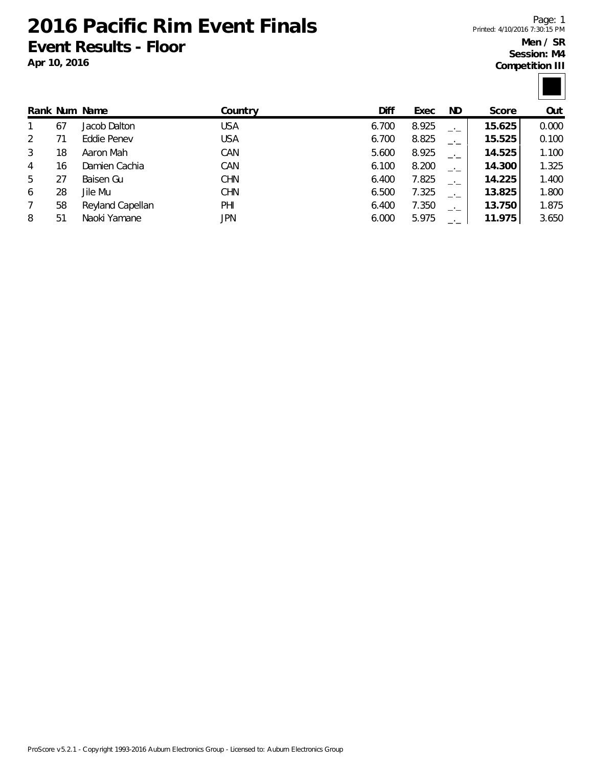**2016 Pacific Rim Event Finals Event Results - Floor**

**Apr 10, 2016**

Page: 1 Printed: 4/10/2016 7:30:15 PM **Men / SR Session: M4**

**Competition III**

|   |    | Rank Num Name    | Country    | Diff  | Exec  | ND.  | Score  | Out   |
|---|----|------------------|------------|-------|-------|------|--------|-------|
|   | 67 | Jacob Dalton     | USA        | 6.700 | 8.925 |      | 15.625 | 0.000 |
| 2 |    | Eddie Penev      | <b>USA</b> | 6.700 | 8.825 | $-1$ | 15.525 | 0.100 |
| 3 | 18 | Aaron Mah        | CAN        | 5.600 | 8.925 | $-1$ | 14.525 | 1.100 |
| 4 | 16 | Damien Cachia    | CAN        | 6.100 | 8.200 | $-1$ | 14.300 | 1.325 |
| 5 | 27 | Baisen Gu        | <b>CHN</b> | 6.400 | 7.825 | $-1$ | 14.225 | 1.400 |
| 6 | 28 | Jile Mu          | <b>CHN</b> | 6.500 | 7.325 | $-1$ | 13.825 | 1.800 |
| 7 | 58 | Reyland Capellan | PHI        | 6.400 | 7.350 | $-1$ | 13.750 | 1.875 |
| 8 | 51 | Naoki Yamane     | JPN        | 6.000 | 5.975 |      | 11.975 | 3.650 |
|   |    |                  |            |       |       |      |        |       |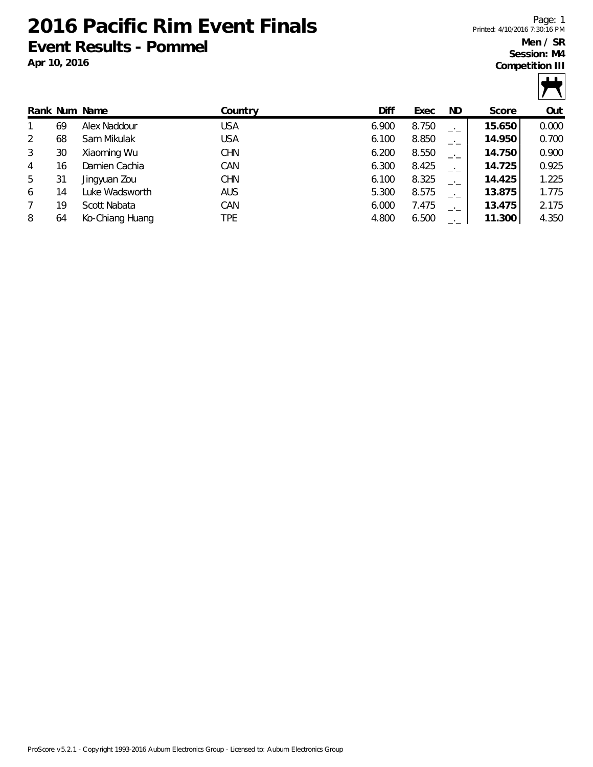**2016 Pacific Rim Event Finals Event Results - Pommel**

**Apr 10, 2016**

Page: 1 Printed: 4/10/2016 7:30:16 PM **Men / SR Session: M4**

**Competition III**



|   |    | Rank Num Name   | Countrv    | Diff  | Exec  | ND.     | Score  | Out   |
|---|----|-----------------|------------|-------|-------|---------|--------|-------|
|   | 69 | Alex Naddour    | <b>USA</b> | 6.900 | 8.750 |         | 15.650 | 0.000 |
| 2 | 68 | Sam Mikulak     | <b>USA</b> | 6.100 | 8.850 | $-1$    | 14.950 | 0.700 |
| 3 | 30 | Xiaoming Wu     | <b>CHN</b> | 6.200 | 8.550 | —.<br>— | 14.750 | 0.900 |
| 4 | 16 | Damien Cachia   | CAN        | 6.300 | 8.425 | $-1$    | 14.725 | 0.925 |
| 5 | 31 | Jingyuan Zou    | <b>CHN</b> | 6.100 | 8.325 | —'—     | 14.425 | 1.225 |
| 6 | 14 | Luke Wadsworth  | <b>AUS</b> | 5.300 | 8.575 | $-1$    | 13.875 | 1.775 |
|   | 19 | Scott Nabata    | CAN        | 6.000 | 7.475 | —'—     | 13.475 | 2.175 |
| 8 | 64 | Ko-Chiang Huang | TPE        | 4.800 | 6.500 |         | 11.300 | 4.350 |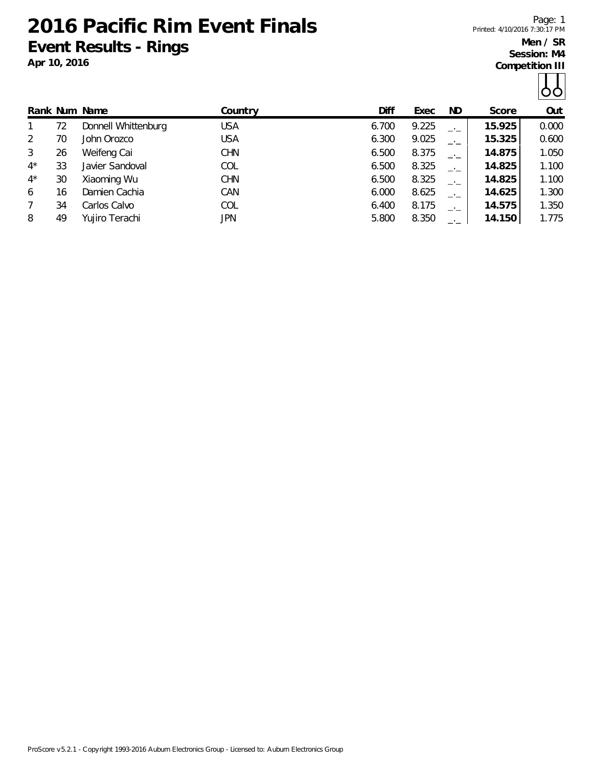**2016 Pacific Rim Event Finals Event Results - Rings**

**Apr 10, 2016**

Page: 1 Printed: 4/10/2016 7:30:17 PM

**Men / SR Session: M4 Competition III**

|--|

|             |    | Rank Num Name       | Country    | Diff  | Exec  | ND.           | Score  | Out   |
|-------------|----|---------------------|------------|-------|-------|---------------|--------|-------|
|             | 72 | Donnell Whittenburg | USA        | 6.700 | 9.225 |               | 15.925 | 0.000 |
| 2           | 70 | John Orozco         | USA        | 6.300 | 9.025 | $\rightarrow$ | 15.325 | 0.600 |
| 3           | 26 | Weifeng Cai         | <b>CHN</b> | 6.500 | 8.375 |               | 14.875 | 1.050 |
| $4^{\star}$ | 33 | Javier Sandoval     | <b>COL</b> | 6.500 | 8.325 | $\rightarrow$ | 14.825 | 1.100 |
| $4^*$       | 30 | Xiaoming Wu         | <b>CHN</b> | 6.500 | 8.325 |               | 14.825 | 1.100 |
| 6           | 16 | Damien Cachia       | CAN        | 6.000 | 8.625 | $-1$          | 14.625 | 1.300 |
| 7           | 34 | Carlos Calvo        | <b>COL</b> | 6.400 | 8.175 | $-1$          | 14.575 | 1.350 |
| 8           | 49 | Yujiro Terachi      | JPN        | 5.800 | 8.350 |               | 14.150 | 1.775 |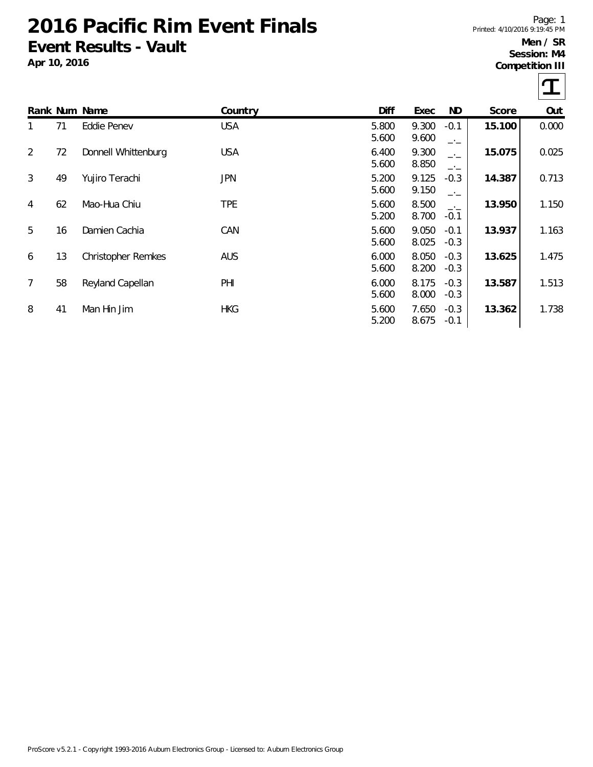## **2016 Pacific Rim Event Finals Event Results - Vault**

**Apr 10, 2016**

Page: 1 Printed: 4/10/2016 9:19:45 PM **Men / SR**

**Session: M4 Competition III**

 $\tau$ 

|                |    |                           |            |                |                |                  |        | ┻     |
|----------------|----|---------------------------|------------|----------------|----------------|------------------|--------|-------|
|                |    | Rank Num Name             | Country    | Diff           | Exec           | ND               | Score  | Out   |
|                | 71 | Eddie Penev               | <b>USA</b> | 5.800<br>5.600 | 9.300<br>9.600 | $-0.1$<br>$-1$   | 15.100 | 0.000 |
| 2              | 72 | Donnell Whittenburg       | <b>USA</b> | 6.400<br>5.600 | 9.300<br>8.850 | $-1$<br>$-1$     | 15.075 | 0.025 |
| 3              | 49 | Yujiro Terachi            | JPN        | 5.200<br>5.600 | 9.125<br>9.150 | $-0.3$<br>$-1$   | 14.387 | 0.713 |
| 4              | 62 | Mao-Hua Chiu              | TPE        | 5.600<br>5.200 | 8.500<br>8.700 | $-1$<br>$-0.1$   | 13.950 | 1.150 |
| 5              | 16 | Damien Cachia             | CAN        | 5.600<br>5.600 | 9.050<br>8.025 | $-0.1$<br>$-0.3$ | 13.937 | 1.163 |
| 6              | 13 | <b>Christopher Remkes</b> | <b>AUS</b> | 6.000<br>5.600 | 8.050<br>8.200 | $-0.3$<br>$-0.3$ | 13.625 | 1.475 |
| $\overline{7}$ | 58 | Reyland Capellan          | PHI        | 6.000<br>5.600 | 8.175<br>8.000 | $-0.3$<br>$-0.3$ | 13.587 | 1.513 |
| 8              | 41 | Man Hin Jim               | <b>HKG</b> | 5.600<br>5.200 | 7.650<br>8.675 | $-0.3$<br>$-0.1$ | 13.362 | 1.738 |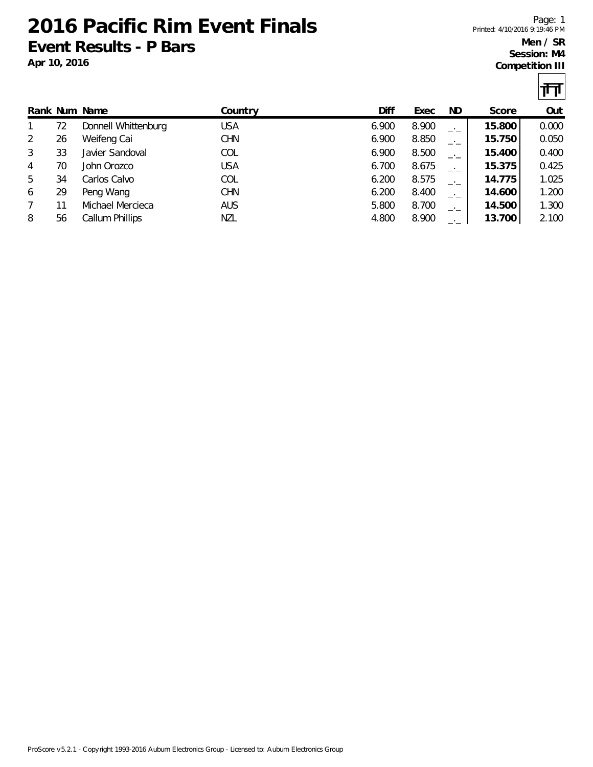**2016 Pacific Rim Event Finals Event Results - P Bars**

**Apr 10, 2016**

Page: 1 Printed: 4/10/2016 9:19:46 PM **Men / SR Session: M4**

**Competition III**

 $|\mathbf{H}|$ 

|   |    |                     |            |       |       |      |        | .     |
|---|----|---------------------|------------|-------|-------|------|--------|-------|
|   |    | Rank Num Name       | Country    | Diff  | Exec  | ND   | Score  | Out   |
|   | 72 | Donnell Whittenburg | <b>USA</b> | 6.900 | 8.900 | —'—  | 15.800 | 0.000 |
| 2 | 26 | Weifeng Cai         | <b>CHN</b> | 6.900 | 8.850 | —'—  | 15.750 | 0.050 |
| 3 | 33 | Javier Sandoval     | COL        | 6.900 | 8.500 | —'—  | 15.400 | 0.400 |
| 4 | 70 | John Orozco         | <b>USA</b> | 6.700 | 8.675 | —'—  | 15.375 | 0.425 |
| 5 | 34 | Carlos Calvo        | COL        | 6.200 | 8.575 | $-1$ | 14.775 | 1.025 |
| 6 | 29 | Peng Wang           | <b>CHN</b> | 6.200 | 8.400 | —'—  | 14.600 | 1.200 |
|   |    | Michael Mercieca    | <b>AUS</b> | 5.800 | 8.700 | —'—  | 14.500 | 1.300 |
| 8 | 56 | Callum Phillips     | NZL        | 4.800 | 8.900 |      | 13.700 | 2.100 |